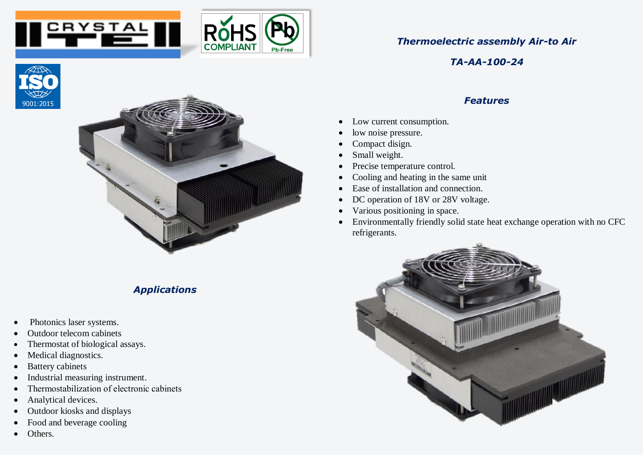



## *Thermoelectric assembly Air-to Air*

*TA-AA-100-24*

## *Features*

- Low current consumption.
- low noise pressure.
- Compact disign.
- Small weight.
- Precise temperature control.
- Cooling and heating in the same unit
- Ease of installation and connection.
- DC operation of 18V or 28V voltage.
- Various positioning in space.
- Environmentally friendly solid state heat exchange operation with no CFC refrigerants.







## *Applications*

- Photonics laser systems.
- Outdoor telecom cabinets
- Thermostat of biological assays.
- Medical diagnostics.
- Battery cabinets
- Industrial measuring instrument.
- Тhermostabilization of electronic cabinets
- Analytical devices.
- Outdoor kiosks and displays
- Food and beverage cooling
- Others.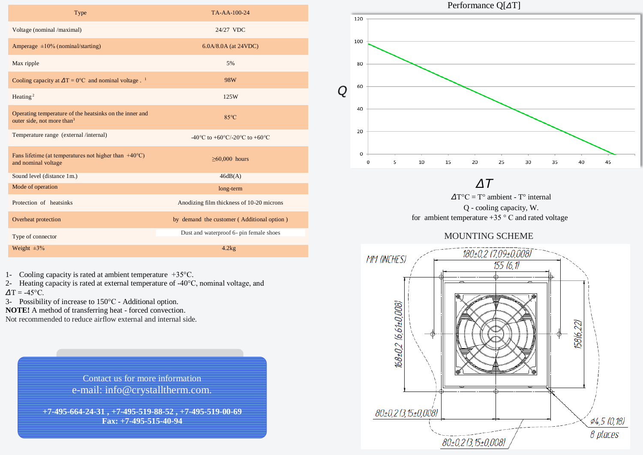| Type                                                                                              | TA-AA-100-24                               |
|---------------------------------------------------------------------------------------------------|--------------------------------------------|
| Voltage (nominal /maximal)                                                                        | 24/27 VDC                                  |
| Amperage $\pm 10\%$ (nominal/starting)                                                            | $6.0A/8.0A$ (at 24VDC)                     |
| Max ripple                                                                                        | 5%                                         |
| Cooling capacity at $\Delta T = 0$ °C and nominal voltage. <sup>1</sup>                           | 98W                                        |
| Heating <sup>2</sup>                                                                              | 125W                                       |
| Operating temperature of the heatsinks on the inner and<br>outer side, not more than <sup>3</sup> | $85^{\circ}$ C                             |
| Temperature range (external /internal)                                                            | -40 °C to +60 °C/-20 °C to +60 °C          |
| Fans lifetime (at temperatures not higher than $+40^{\circ}$ C)<br>and nominal voltage            | $\geq 60,000$ hours                        |
| Sound level (distance 1m.)                                                                        | 46dB(A)                                    |
| Mode of operation                                                                                 | long-term                                  |
| Protection of heatsinks                                                                           | Anodizing film thickness of 10-20 microns  |
| Overheat protection                                                                               | by demand the customer (Additional option) |
| Type of connector                                                                                 | Dust and waterproof 6- pin female shoes    |
| Weight $\pm 3\%$                                                                                  | 4.2kg                                      |

1- Cooling capacity is rated at ambient temperature +35°C.

2- Heating capacity is rated at external temperature of -40°C, nominal voltage, and  $\Delta T = -45$ °C.

3- Possibility of increase to 150°C - Additional option.

**NOTE!** A method of transferring heat - forced convection.

Not recommended to reduce airflow external and internal side.

Contact us for more information e-mail: info@crystalltherm.com.

**+7-495-664-24-31 , +7-495-519-88-52 , +7-495-519-00-69 Fax: +7-495-515-40-94**



*∆T*

 *∆*T°C = T° ambient - T° internal Q - cooling capacity, W. for ambient temperature  $+35$  ° C and rated voltage

## MOUNTING SCHEME